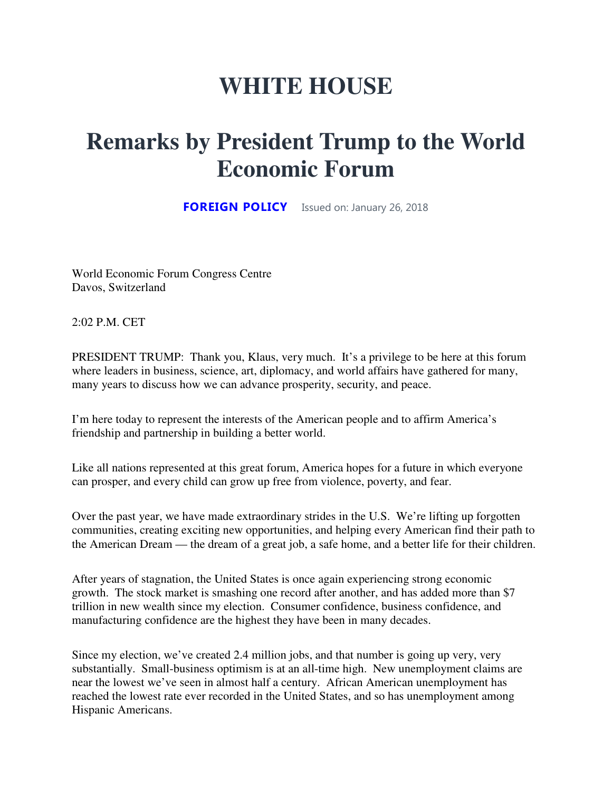## **WHITE HOUSE**

## **Remarks by President Trump to the World Economic Forum**

**FOREIGN POLICY** Issued on: January 26, 2018

World Economic Forum Congress Centre Davos, Switzerland

2:02 P.M. CET

PRESIDENT TRUMP: Thank you, Klaus, very much. It's a privilege to be here at this forum where leaders in business, science, art, diplomacy, and world affairs have gathered for many, many years to discuss how we can advance prosperity, security, and peace.

I'm here today to represent the interests of the American people and to affirm America's friendship and partnership in building a better world.

Like all nations represented at this great forum, America hopes for a future in which everyone can prosper, and every child can grow up free from violence, poverty, and fear.

Over the past year, we have made extraordinary strides in the U.S. We're lifting up forgotten communities, creating exciting new opportunities, and helping every American find their path to the American Dream — the dream of a great job, a safe home, and a better life for their children.

After years of stagnation, the United States is once again experiencing strong economic growth. The stock market is smashing one record after another, and has added more than \$7 trillion in new wealth since my election. Consumer confidence, business confidence, and manufacturing confidence are the highest they have been in many decades.

Since my election, we've created 2.4 million jobs, and that number is going up very, very substantially. Small-business optimism is at an all-time high. New unemployment claims are near the lowest we've seen in almost half a century. African American unemployment has reached the lowest rate ever recorded in the United States, and so has unemployment among Hispanic Americans.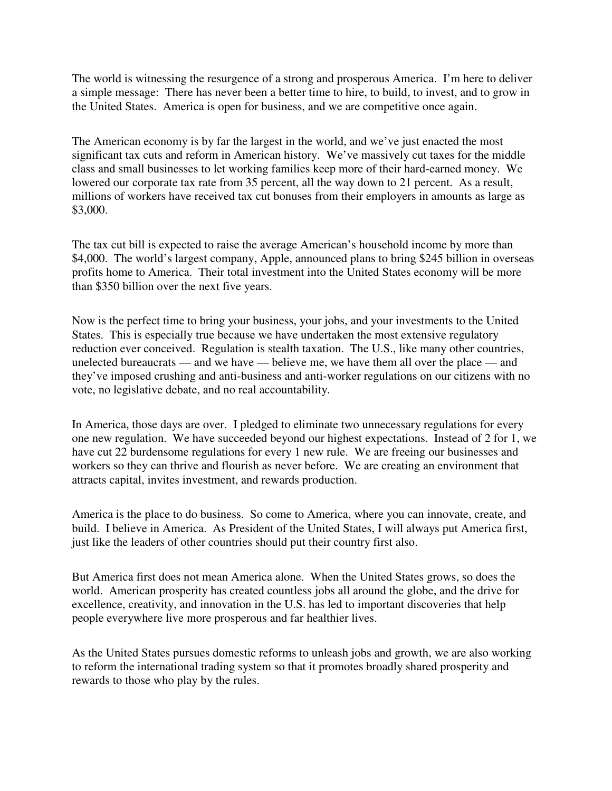The world is witnessing the resurgence of a strong and prosperous America. I'm here to deliver a simple message: There has never been a better time to hire, to build, to invest, and to grow in the United States. America is open for business, and we are competitive once again.

The American economy is by far the largest in the world, and we've just enacted the most significant tax cuts and reform in American history. We've massively cut taxes for the middle class and small businesses to let working families keep more of their hard-earned money. We lowered our corporate tax rate from 35 percent, all the way down to 21 percent. As a result, millions of workers have received tax cut bonuses from their employers in amounts as large as \$3,000.

The tax cut bill is expected to raise the average American's household income by more than \$4,000. The world's largest company, Apple, announced plans to bring \$245 billion in overseas profits home to America. Their total investment into the United States economy will be more than \$350 billion over the next five years.

Now is the perfect time to bring your business, your jobs, and your investments to the United States. This is especially true because we have undertaken the most extensive regulatory reduction ever conceived. Regulation is stealth taxation. The U.S., like many other countries, unelected bureaucrats — and we have — believe me, we have them all over the place — and they've imposed crushing and anti-business and anti-worker regulations on our citizens with no vote, no legislative debate, and no real accountability.

In America, those days are over. I pledged to eliminate two unnecessary regulations for every one new regulation. We have succeeded beyond our highest expectations. Instead of 2 for 1, we have cut 22 burdensome regulations for every 1 new rule. We are freeing our businesses and workers so they can thrive and flourish as never before. We are creating an environment that attracts capital, invites investment, and rewards production.

America is the place to do business. So come to America, where you can innovate, create, and build. I believe in America. As President of the United States, I will always put America first, just like the leaders of other countries should put their country first also.

But America first does not mean America alone. When the United States grows, so does the world. American prosperity has created countless jobs all around the globe, and the drive for excellence, creativity, and innovation in the U.S. has led to important discoveries that help people everywhere live more prosperous and far healthier lives.

As the United States pursues domestic reforms to unleash jobs and growth, we are also working to reform the international trading system so that it promotes broadly shared prosperity and rewards to those who play by the rules.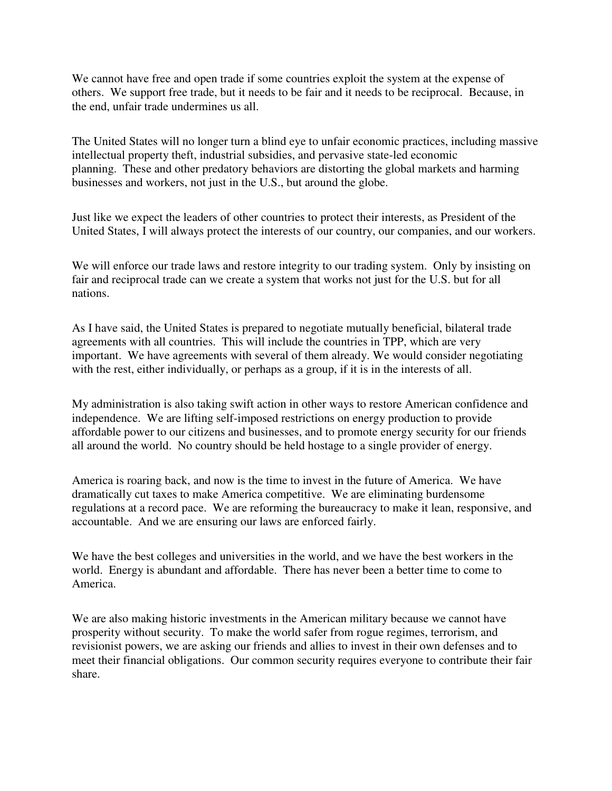We cannot have free and open trade if some countries exploit the system at the expense of others. We support free trade, but it needs to be fair and it needs to be reciprocal. Because, in the end, unfair trade undermines us all.

The United States will no longer turn a blind eye to unfair economic practices, including massive intellectual property theft, industrial subsidies, and pervasive state-led economic planning. These and other predatory behaviors are distorting the global markets and harming businesses and workers, not just in the U.S., but around the globe.

Just like we expect the leaders of other countries to protect their interests, as President of the United States, I will always protect the interests of our country, our companies, and our workers.

We will enforce our trade laws and restore integrity to our trading system. Only by insisting on fair and reciprocal trade can we create a system that works not just for the U.S. but for all nations.

As I have said, the United States is prepared to negotiate mutually beneficial, bilateral trade agreements with all countries. This will include the countries in TPP, which are very important. We have agreements with several of them already. We would consider negotiating with the rest, either individually, or perhaps as a group, if it is in the interests of all.

My administration is also taking swift action in other ways to restore American confidence and independence. We are lifting self-imposed restrictions on energy production to provide affordable power to our citizens and businesses, and to promote energy security for our friends all around the world. No country should be held hostage to a single provider of energy.

America is roaring back, and now is the time to invest in the future of America. We have dramatically cut taxes to make America competitive. We are eliminating burdensome regulations at a record pace. We are reforming the bureaucracy to make it lean, responsive, and accountable. And we are ensuring our laws are enforced fairly.

We have the best colleges and universities in the world, and we have the best workers in the world. Energy is abundant and affordable. There has never been a better time to come to America.

We are also making historic investments in the American military because we cannot have prosperity without security. To make the world safer from rogue regimes, terrorism, and revisionist powers, we are asking our friends and allies to invest in their own defenses and to meet their financial obligations. Our common security requires everyone to contribute their fair share.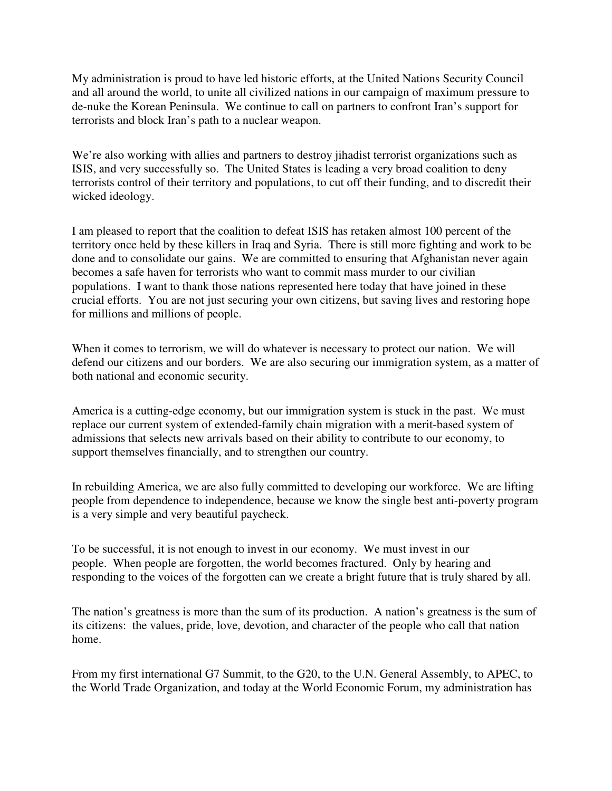My administration is proud to have led historic efforts, at the United Nations Security Council and all around the world, to unite all civilized nations in our campaign of maximum pressure to de-nuke the Korean Peninsula. We continue to call on partners to confront Iran's support for terrorists and block Iran's path to a nuclear weapon.

We're also working with allies and partners to destroy jihadist terrorist organizations such as ISIS, and very successfully so. The United States is leading a very broad coalition to deny terrorists control of their territory and populations, to cut off their funding, and to discredit their wicked ideology.

I am pleased to report that the coalition to defeat ISIS has retaken almost 100 percent of the territory once held by these killers in Iraq and Syria. There is still more fighting and work to be done and to consolidate our gains. We are committed to ensuring that Afghanistan never again becomes a safe haven for terrorists who want to commit mass murder to our civilian populations. I want to thank those nations represented here today that have joined in these crucial efforts. You are not just securing your own citizens, but saving lives and restoring hope for millions and millions of people.

When it comes to terrorism, we will do whatever is necessary to protect our nation. We will defend our citizens and our borders. We are also securing our immigration system, as a matter of both national and economic security.

America is a cutting-edge economy, but our immigration system is stuck in the past. We must replace our current system of extended-family chain migration with a merit-based system of admissions that selects new arrivals based on their ability to contribute to our economy, to support themselves financially, and to strengthen our country.

In rebuilding America, we are also fully committed to developing our workforce. We are lifting people from dependence to independence, because we know the single best anti-poverty program is a very simple and very beautiful paycheck.

To be successful, it is not enough to invest in our economy. We must invest in our people. When people are forgotten, the world becomes fractured. Only by hearing and responding to the voices of the forgotten can we create a bright future that is truly shared by all.

The nation's greatness is more than the sum of its production. A nation's greatness is the sum of its citizens: the values, pride, love, devotion, and character of the people who call that nation home.

From my first international G7 Summit, to the G20, to the U.N. General Assembly, to APEC, to the World Trade Organization, and today at the World Economic Forum, my administration has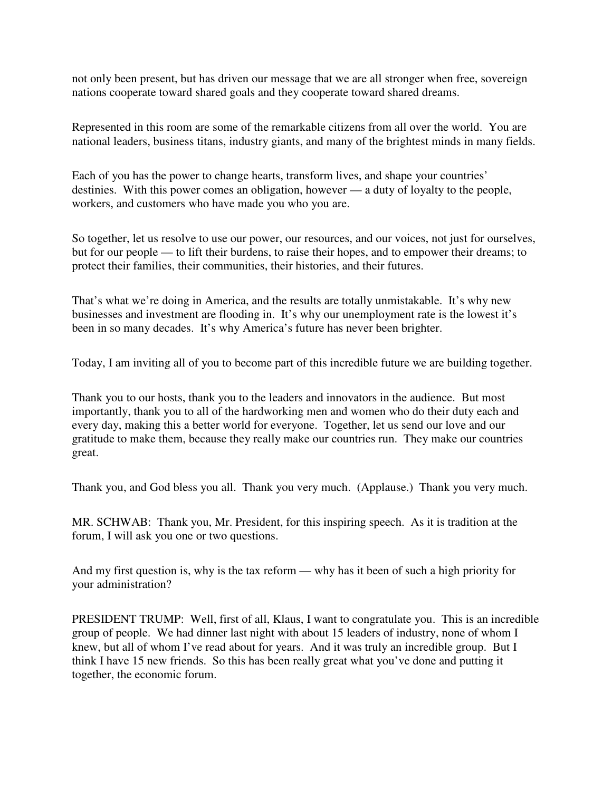not only been present, but has driven our message that we are all stronger when free, sovereign nations cooperate toward shared goals and they cooperate toward shared dreams.

Represented in this room are some of the remarkable citizens from all over the world. You are national leaders, business titans, industry giants, and many of the brightest minds in many fields.

Each of you has the power to change hearts, transform lives, and shape your countries' destinies. With this power comes an obligation, however — a duty of loyalty to the people, workers, and customers who have made you who you are.

So together, let us resolve to use our power, our resources, and our voices, not just for ourselves, but for our people — to lift their burdens, to raise their hopes, and to empower their dreams; to protect their families, their communities, their histories, and their futures.

That's what we're doing in America, and the results are totally unmistakable. It's why new businesses and investment are flooding in. It's why our unemployment rate is the lowest it's been in so many decades. It's why America's future has never been brighter.

Today, I am inviting all of you to become part of this incredible future we are building together.

Thank you to our hosts, thank you to the leaders and innovators in the audience. But most importantly, thank you to all of the hardworking men and women who do their duty each and every day, making this a better world for everyone. Together, let us send our love and our gratitude to make them, because they really make our countries run. They make our countries great.

Thank you, and God bless you all. Thank you very much. (Applause.) Thank you very much.

MR. SCHWAB: Thank you, Mr. President, for this inspiring speech. As it is tradition at the forum, I will ask you one or two questions.

And my first question is, why is the tax reform — why has it been of such a high priority for your administration?

PRESIDENT TRUMP: Well, first of all, Klaus, I want to congratulate you. This is an incredible group of people. We had dinner last night with about 15 leaders of industry, none of whom I knew, but all of whom I've read about for years. And it was truly an incredible group. But I think I have 15 new friends. So this has been really great what you've done and putting it together, the economic forum.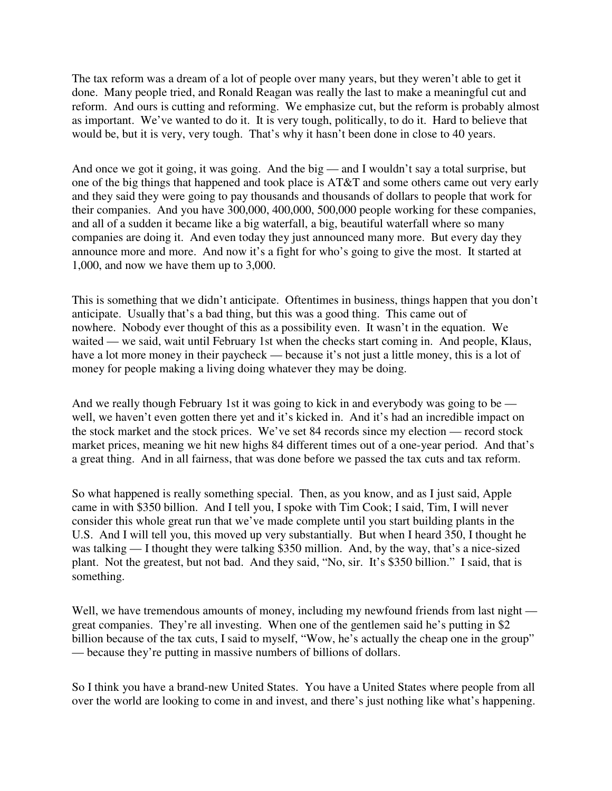The tax reform was a dream of a lot of people over many years, but they weren't able to get it done. Many people tried, and Ronald Reagan was really the last to make a meaningful cut and reform. And ours is cutting and reforming. We emphasize cut, but the reform is probably almost as important. We've wanted to do it. It is very tough, politically, to do it. Hard to believe that would be, but it is very, very tough. That's why it hasn't been done in close to 40 years.

And once we got it going, it was going. And the big — and I wouldn't say a total surprise, but one of the big things that happened and took place is AT&T and some others came out very early and they said they were going to pay thousands and thousands of dollars to people that work for their companies. And you have 300,000, 400,000, 500,000 people working for these companies, and all of a sudden it became like a big waterfall, a big, beautiful waterfall where so many companies are doing it. And even today they just announced many more. But every day they announce more and more. And now it's a fight for who's going to give the most. It started at 1,000, and now we have them up to 3,000.

This is something that we didn't anticipate. Oftentimes in business, things happen that you don't anticipate. Usually that's a bad thing, but this was a good thing. This came out of nowhere. Nobody ever thought of this as a possibility even. It wasn't in the equation. We waited — we said, wait until February 1st when the checks start coming in. And people, Klaus, have a lot more money in their paycheck — because it's not just a little money, this is a lot of money for people making a living doing whatever they may be doing.

And we really though February 1st it was going to kick in and everybody was going to be well, we haven't even gotten there yet and it's kicked in. And it's had an incredible impact on the stock market and the stock prices. We've set 84 records since my election — record stock market prices, meaning we hit new highs 84 different times out of a one-year period. And that's a great thing. And in all fairness, that was done before we passed the tax cuts and tax reform.

So what happened is really something special. Then, as you know, and as I just said, Apple came in with \$350 billion. And I tell you, I spoke with Tim Cook; I said, Tim, I will never consider this whole great run that we've made complete until you start building plants in the U.S. And I will tell you, this moved up very substantially. But when I heard 350, I thought he was talking — I thought they were talking \$350 million. And, by the way, that's a nice-sized plant. Not the greatest, but not bad. And they said, "No, sir. It's \$350 billion." I said, that is something.

Well, we have tremendous amounts of money, including my newfound friends from last night great companies. They're all investing. When one of the gentlemen said he's putting in \$2 billion because of the tax cuts, I said to myself, "Wow, he's actually the cheap one in the group" — because they're putting in massive numbers of billions of dollars.

So I think you have a brand-new United States. You have a United States where people from all over the world are looking to come in and invest, and there's just nothing like what's happening.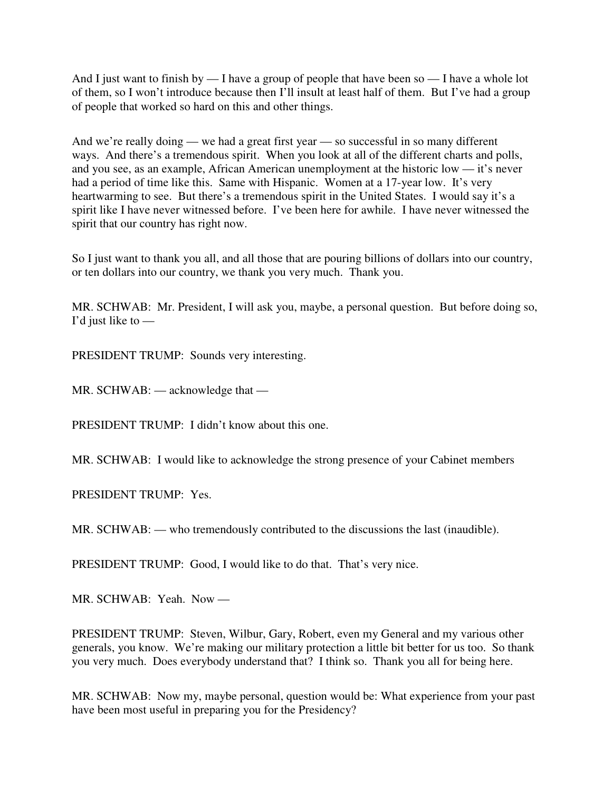And I just want to finish by  $- I$  have a group of people that have been so  $- I$  have a whole lot of them, so I won't introduce because then I'll insult at least half of them. But I've had a group of people that worked so hard on this and other things.

And we're really doing — we had a great first year — so successful in so many different ways. And there's a tremendous spirit. When you look at all of the different charts and polls, and you see, as an example, African American unemployment at the historic low — it's never had a period of time like this. Same with Hispanic. Women at a 17-year low. It's very heartwarming to see. But there's a tremendous spirit in the United States. I would say it's a spirit like I have never witnessed before. I've been here for awhile. I have never witnessed the spirit that our country has right now.

So I just want to thank you all, and all those that are pouring billions of dollars into our country, or ten dollars into our country, we thank you very much. Thank you.

MR. SCHWAB: Mr. President, I will ask you, maybe, a personal question. But before doing so, I'd just like to —

PRESIDENT TRUMP: Sounds very interesting.

MR. SCHWAB: — acknowledge that —

PRESIDENT TRUMP: I didn't know about this one.

MR. SCHWAB: I would like to acknowledge the strong presence of your Cabinet members

PRESIDENT TRUMP: Yes.

MR. SCHWAB: — who tremendously contributed to the discussions the last (inaudible).

PRESIDENT TRUMP: Good, I would like to do that. That's very nice.

MR. SCHWAB: Yeah. Now —

PRESIDENT TRUMP: Steven, Wilbur, Gary, Robert, even my General and my various other generals, you know. We're making our military protection a little bit better for us too. So thank you very much. Does everybody understand that? I think so. Thank you all for being here.

MR. SCHWAB: Now my, maybe personal, question would be: What experience from your past have been most useful in preparing you for the Presidency?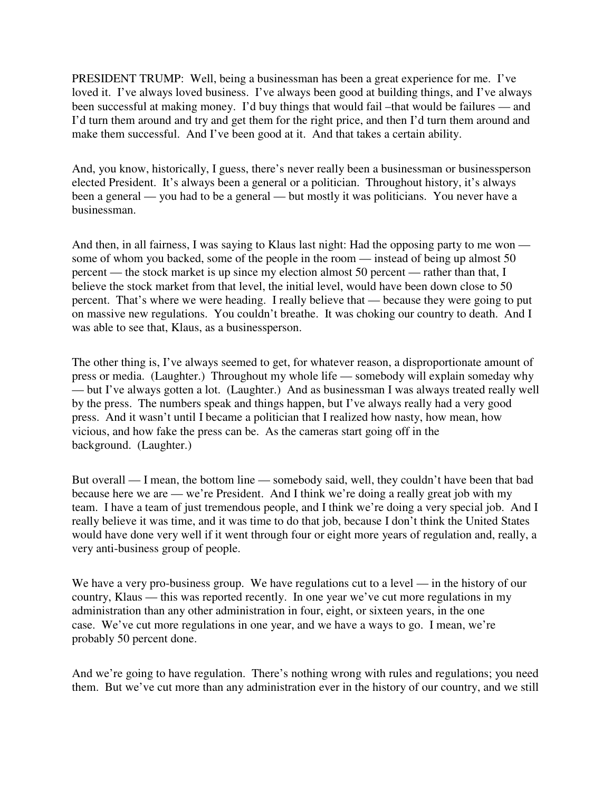PRESIDENT TRUMP: Well, being a businessman has been a great experience for me. I've loved it. I've always loved business. I've always been good at building things, and I've always been successful at making money. I'd buy things that would fail –that would be failures — and I'd turn them around and try and get them for the right price, and then I'd turn them around and make them successful. And I've been good at it. And that takes a certain ability.

And, you know, historically, I guess, there's never really been a businessman or businessperson elected President. It's always been a general or a politician. Throughout history, it's always been a general — you had to be a general — but mostly it was politicians. You never have a businessman.

And then, in all fairness, I was saying to Klaus last night: Had the opposing party to me won some of whom you backed, some of the people in the room — instead of being up almost 50 percent — the stock market is up since my election almost 50 percent — rather than that, I believe the stock market from that level, the initial level, would have been down close to 50 percent. That's where we were heading. I really believe that — because they were going to put on massive new regulations. You couldn't breathe. It was choking our country to death. And I was able to see that, Klaus, as a businessperson.

The other thing is, I've always seemed to get, for whatever reason, a disproportionate amount of press or media. (Laughter.) Throughout my whole life — somebody will explain someday why — but I've always gotten a lot. (Laughter.) And as businessman I was always treated really well by the press. The numbers speak and things happen, but I've always really had a very good press. And it wasn't until I became a politician that I realized how nasty, how mean, how vicious, and how fake the press can be. As the cameras start going off in the background. (Laughter.)

But overall — I mean, the bottom line — somebody said, well, they couldn't have been that bad because here we are — we're President. And I think we're doing a really great job with my team. I have a team of just tremendous people, and I think we're doing a very special job. And I really believe it was time, and it was time to do that job, because I don't think the United States would have done very well if it went through four or eight more years of regulation and, really, a very anti-business group of people.

We have a very pro-business group. We have regulations cut to a level — in the history of our country, Klaus — this was reported recently. In one year we've cut more regulations in my administration than any other administration in four, eight, or sixteen years, in the one case. We've cut more regulations in one year, and we have a ways to go. I mean, we're probably 50 percent done.

And we're going to have regulation. There's nothing wrong with rules and regulations; you need them. But we've cut more than any administration ever in the history of our country, and we still